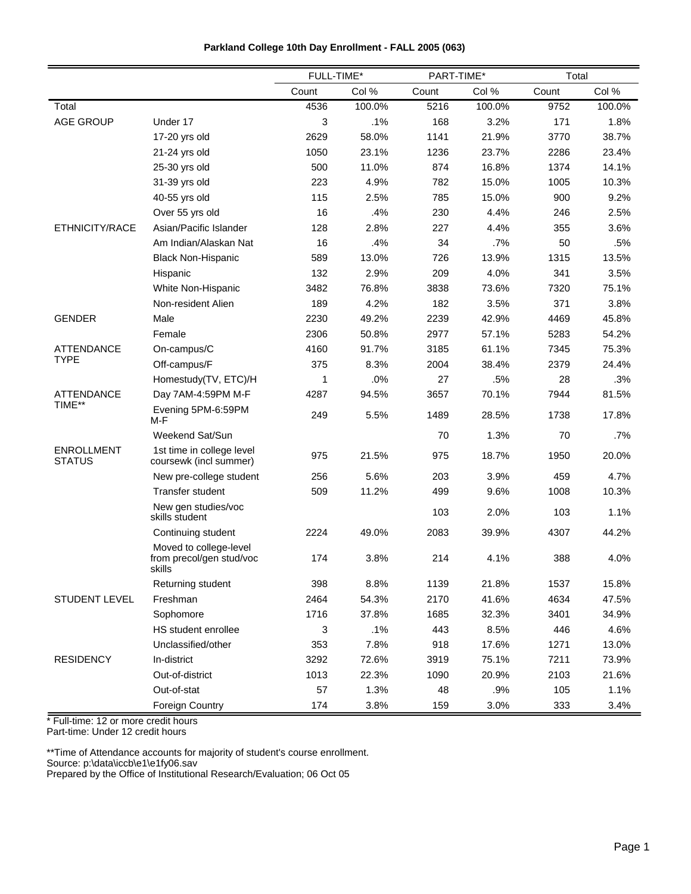|  |  | Parkland College 10th Day Enrollment - FALL 2005 (063) |  |  |
|--|--|--------------------------------------------------------|--|--|
|  |  |                                                        |  |  |

|                                    |                                                              | FULL-TIME* |        | PART-TIME* |        | Total |        |
|------------------------------------|--------------------------------------------------------------|------------|--------|------------|--------|-------|--------|
|                                    |                                                              | Count      | Col %  | Count      | Col %  | Count | Col %  |
| Total                              |                                                              | 4536       | 100.0% | 5216       | 100.0% | 9752  | 100.0% |
| <b>AGE GROUP</b>                   | Under 17                                                     | 3          | .1%    | 168        | 3.2%   | 171   | 1.8%   |
|                                    | 17-20 yrs old                                                | 2629       | 58.0%  | 1141       | 21.9%  | 3770  | 38.7%  |
|                                    | 21-24 yrs old                                                | 1050       | 23.1%  | 1236       | 23.7%  | 2286  | 23.4%  |
|                                    | 25-30 yrs old                                                | 500        | 11.0%  | 874        | 16.8%  | 1374  | 14.1%  |
|                                    | 31-39 yrs old                                                | 223        | 4.9%   | 782        | 15.0%  | 1005  | 10.3%  |
|                                    | 40-55 yrs old                                                | 115        | 2.5%   | 785        | 15.0%  | 900   | 9.2%   |
|                                    | Over 55 yrs old                                              | 16         | .4%    | 230        | 4.4%   | 246   | 2.5%   |
| ETHNICITY/RACE                     | Asian/Pacific Islander                                       | 128        | 2.8%   | 227        | 4.4%   | 355   | 3.6%   |
|                                    | Am Indian/Alaskan Nat                                        | 16         | .4%    | 34         | .7%    | 50    | .5%    |
|                                    | <b>Black Non-Hispanic</b>                                    | 589        | 13.0%  | 726        | 13.9%  | 1315  | 13.5%  |
|                                    | Hispanic                                                     | 132        | 2.9%   | 209        | 4.0%   | 341   | 3.5%   |
|                                    | White Non-Hispanic                                           | 3482       | 76.8%  | 3838       | 73.6%  | 7320  | 75.1%  |
|                                    | Non-resident Alien                                           | 189        | 4.2%   | 182        | 3.5%   | 371   | 3.8%   |
| <b>GENDER</b>                      | Male                                                         | 2230       | 49.2%  | 2239       | 42.9%  | 4469  | 45.8%  |
|                                    | Female                                                       | 2306       | 50.8%  | 2977       | 57.1%  | 5283  | 54.2%  |
| <b>ATTENDANCE</b>                  | On-campus/C                                                  | 4160       | 91.7%  | 3185       | 61.1%  | 7345  | 75.3%  |
| <b>TYPE</b>                        | Off-campus/F                                                 | 375        | 8.3%   | 2004       | 38.4%  | 2379  | 24.4%  |
|                                    | Homestudy(TV, ETC)/H                                         | 1          | .0%    | 27         | .5%    | 28    | .3%    |
| <b>ATTENDANCE</b>                  | Day 7AM-4:59PM M-F                                           | 4287       | 94.5%  | 3657       | 70.1%  | 7944  | 81.5%  |
| TIME**                             | Evening 5PM-6:59PM<br>M-F                                    | 249        | 5.5%   | 1489       | 28.5%  | 1738  | 17.8%  |
|                                    | Weekend Sat/Sun                                              |            |        | 70         | 1.3%   | 70    | .7%    |
| <b>ENROLLMENT</b><br><b>STATUS</b> | 1st time in college level<br>coursewk (incl summer)          | 975        | 21.5%  | 975        | 18.7%  | 1950  | 20.0%  |
|                                    | New pre-college student                                      | 256        | 5.6%   | 203        | 3.9%   | 459   | 4.7%   |
|                                    | Transfer student                                             | 509        | 11.2%  | 499        | 9.6%   | 1008  | 10.3%  |
|                                    | New gen studies/voc<br>skills student                        |            |        | 103        | 2.0%   | 103   | 1.1%   |
|                                    | Continuing student                                           | 2224       | 49.0%  | 2083       | 39.9%  | 4307  | 44.2%  |
|                                    | Moved to college-level<br>from precol/gen stud/voc<br>skills | 174        | 3.8%   | 214        | 4.1%   | 388   | 4.0%   |
|                                    | Returning student                                            | 398        | 8.8%   | 1139       | 21.8%  | 1537  | 15.8%  |
| STUDENT LEVEL                      | Freshman                                                     | 2464       | 54.3%  | 2170       | 41.6%  | 4634  | 47.5%  |
|                                    | Sophomore                                                    | 1716       | 37.8%  | 1685       | 32.3%  | 3401  | 34.9%  |
|                                    | HS student enrollee                                          | 3          | .1%    | 443        | 8.5%   | 446   | 4.6%   |
|                                    | Unclassified/other                                           | 353        | 7.8%   | 918        | 17.6%  | 1271  | 13.0%  |
| <b>RESIDENCY</b>                   | In-district                                                  | 3292       | 72.6%  | 3919       | 75.1%  | 7211  | 73.9%  |
|                                    | Out-of-district                                              | 1013       | 22.3%  | 1090       | 20.9%  | 2103  | 21.6%  |
|                                    | Out-of-stat                                                  | 57         | 1.3%   | 48         | .9%    | 105   | 1.1%   |
|                                    | Foreign Country                                              | 174        | 3.8%   | 159        | 3.0%   | 333   | 3.4%   |

Part-time: Under 12 credit hours

\*\*Time of Attendance accounts for majority of student's course enrollment.

Source: p:\data\iccb\e1\e1fy06.sav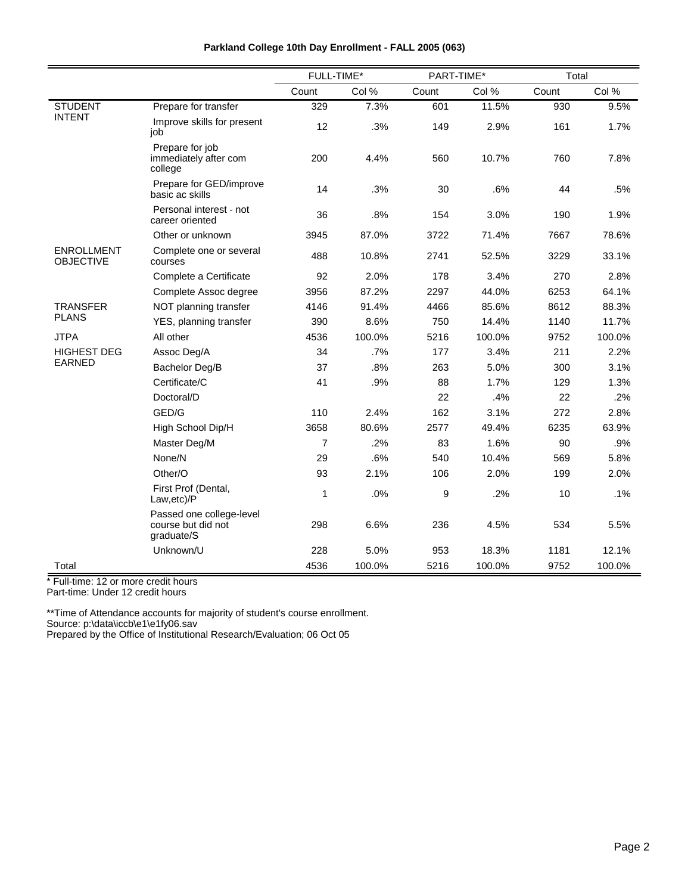|                                       |                                                              | FULL-TIME* |        | PART-TIME* |        | Total |        |
|---------------------------------------|--------------------------------------------------------------|------------|--------|------------|--------|-------|--------|
|                                       |                                                              | Count      | Col %  | Count      | Col %  | Count | Col %  |
| <b>STUDENT</b>                        | Prepare for transfer                                         | 329        | 7.3%   | 601        | 11.5%  | 930   | 9.5%   |
| <b>INTENT</b>                         | Improve skills for present<br>job                            | 12         | .3%    | 149        | 2.9%   | 161   | 1.7%   |
|                                       | Prepare for job<br>immediately after com<br>college          | 200        | 4.4%   | 560        | 10.7%  | 760   | 7.8%   |
|                                       | Prepare for GED/improve<br>basic ac skills                   | 14         | .3%    | 30         | .6%    | 44    | .5%    |
|                                       | Personal interest - not<br>career oriented                   | 36         | .8%    | 154        | 3.0%   | 190   | 1.9%   |
|                                       | Other or unknown                                             | 3945       | 87.0%  | 3722       | 71.4%  | 7667  | 78.6%  |
| <b>ENROLLMENT</b><br><b>OBJECTIVE</b> | Complete one or several<br>courses                           | 488        | 10.8%  | 2741       | 52.5%  | 3229  | 33.1%  |
|                                       | Complete a Certificate                                       | 92         | 2.0%   | 178        | 3.4%   | 270   | 2.8%   |
|                                       | Complete Assoc degree                                        | 3956       | 87.2%  | 2297       | 44.0%  | 6253  | 64.1%  |
| <b>TRANSFER</b>                       | NOT planning transfer                                        | 4146       | 91.4%  | 4466       | 85.6%  | 8612  | 88.3%  |
| <b>PLANS</b>                          | YES, planning transfer                                       | 390        | 8.6%   | 750        | 14.4%  | 1140  | 11.7%  |
| <b>JTPA</b>                           | All other                                                    | 4536       | 100.0% | 5216       | 100.0% | 9752  | 100.0% |
| <b>HIGHEST DEG</b>                    | Assoc Deg/A                                                  | 34         | .7%    | 177        | 3.4%   | 211   | 2.2%   |
| <b>EARNED</b>                         | Bachelor Deg/B                                               | 37         | .8%    | 263        | 5.0%   | 300   | 3.1%   |
|                                       | Certificate/C                                                | 41         | .9%    | 88         | 1.7%   | 129   | 1.3%   |
|                                       | Doctoral/D                                                   |            |        | 22         | .4%    | 22    | .2%    |
|                                       | GED/G                                                        | 110        | 2.4%   | 162        | 3.1%   | 272   | 2.8%   |
|                                       | High School Dip/H                                            | 3658       | 80.6%  | 2577       | 49.4%  | 6235  | 63.9%  |
|                                       | Master Deg/M                                                 | 7          | .2%    | 83         | 1.6%   | 90    | .9%    |
|                                       | None/N                                                       | 29         | .6%    | 540        | 10.4%  | 569   | 5.8%   |
|                                       | Other/O                                                      | 93         | 2.1%   | 106        | 2.0%   | 199   | 2.0%   |
|                                       | First Prof (Dental,<br>Law,etc)/P                            | 1          | .0%    | 9          | .2%    | 10    | .1%    |
|                                       | Passed one college-level<br>course but did not<br>graduate/S | 298        | 6.6%   | 236        | 4.5%   | 534   | 5.5%   |
|                                       | Unknown/U                                                    | 228        | 5.0%   | 953        | 18.3%  | 1181  | 12.1%  |
| Total                                 |                                                              | 4536       | 100.0% | 5216       | 100.0% | 9752  | 100.0% |

\* Full-time: 12 or more credit hours

Part-time: Under 12 credit hours

\*\*Time of Attendance accounts for majority of student's course enrollment. Source: p:\data\iccb\e1\e1fy06.sav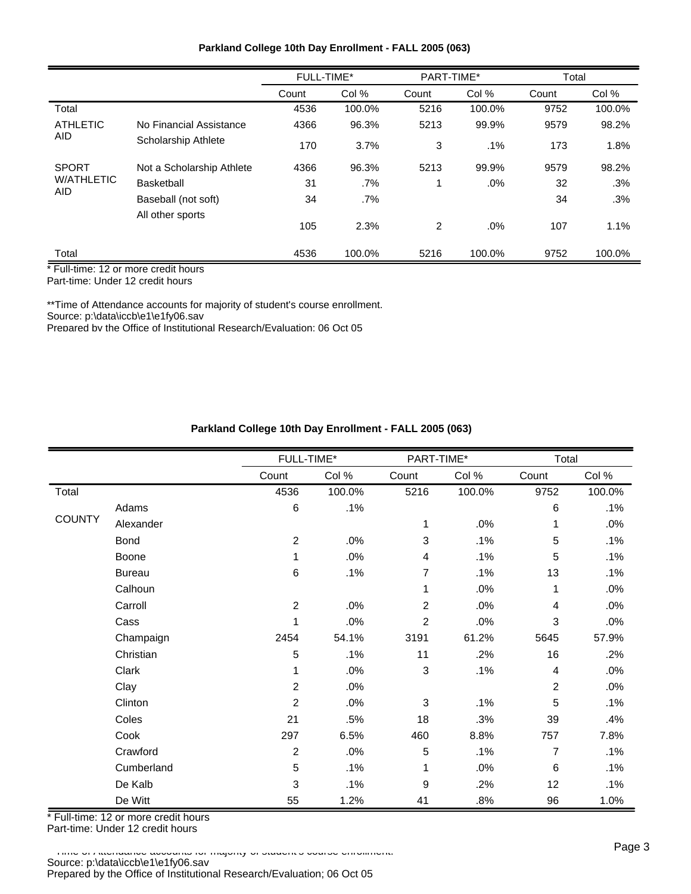| Parkland College 10th Day Enrollment - FALL 2005 (063) |  |  |  |  |  |
|--------------------------------------------------------|--|--|--|--|--|
|--------------------------------------------------------|--|--|--|--|--|

|                   |                           | <b>FULL-TIME*</b> |        | PART-TIME* |        | Total |        |
|-------------------|---------------------------|-------------------|--------|------------|--------|-------|--------|
|                   |                           | Count             | Col %  | Count      | Col %  | Count | Col %  |
| Total             |                           | 4536              | 100.0% | 5216       | 100.0% | 9752  | 100.0% |
| <b>ATHLETIC</b>   | No Financial Assistance   | 4366              | 96.3%  | 5213       | 99.9%  | 9579  | 98.2%  |
| AID               | Scholarship Athlete       | 170               | 3.7%   | 3          | $.1\%$ | 173   | 1.8%   |
| <b>SPORT</b>      | Not a Scholarship Athlete | 4366              | 96.3%  | 5213       | 99.9%  | 9579  | 98.2%  |
| <b>W/ATHLETIC</b> | <b>Basketball</b>         | 31                | $.7\%$ |            | $.0\%$ | 32    | .3%    |
| AID               | Baseball (not soft)       | 34                | .7%    |            |        | 34    | .3%    |
|                   | All other sports          | 105               | 2.3%   | 2          | $.0\%$ | 107   | 1.1%   |
| Total             |                           | 4536              | 100.0% | 5216       | 100.0% | 9752  | 100.0% |

Part-time: Under 12 credit hours

\*\*Time of Attendance accounts for majority of student's course enrollment.

Source: p:\data\iccb\e1\e1fy06.sav

Prepared by the Office of Institutional Research/Evaluation; 06 Oct 05

## **Parkland College 10th Day Enrollment - FALL 2005 (063)**

|               |               | FULL-TIME*     |        | PART-TIME*     |        | Total          |        |
|---------------|---------------|----------------|--------|----------------|--------|----------------|--------|
|               |               | Count          | Col %  | Count          | Col %  | Count          | Col %  |
| Total         |               | 4536           | 100.0% | 5216           | 100.0% | 9752           | 100.0% |
|               | Adams         | $\,6$          | .1%    |                |        | $\,6$          | .1%    |
| <b>COUNTY</b> | Alexander     |                |        | 1              | .0%    | 1              | .0%    |
|               | Bond          | $\overline{2}$ | .0%    | 3              | .1%    | 5              | .1%    |
|               | Boone         | 1              | .0%    | 4              | .1%    | 5              | .1%    |
|               | <b>Bureau</b> | 6              | .1%    | 7              | .1%    | 13             | .1%    |
|               | Calhoun       |                |        | 1              | .0%    | 1              | .0%    |
|               | Carroll       | $\overline{2}$ | .0%    | 2              | .0%    | 4              | .0%    |
|               | Cass          | 1              | .0%    | $\overline{c}$ | .0%    | 3              | .0%    |
|               | Champaign     | 2454           | 54.1%  | 3191           | 61.2%  | 5645           | 57.9%  |
|               | Christian     | 5              | .1%    | 11             | .2%    | 16             | .2%    |
|               | Clark         | 1              | .0%    | $\mathsf 3$    | .1%    | $\overline{4}$ | .0%    |
|               | Clay          | $\overline{2}$ | .0%    |                |        | $\overline{2}$ | .0%    |
|               | Clinton       | $\overline{2}$ | .0%    | 3              | .1%    | 5              | .1%    |
|               | Coles         | 21             | .5%    | 18             | .3%    | 39             | .4%    |
|               | Cook          | 297            | 6.5%   | 460            | 8.8%   | 757            | 7.8%   |
|               | Crawford      | 2              | .0%    | 5              | .1%    | $\overline{7}$ | .1%    |
|               | Cumberland    | 5              | .1%    | 1              | .0%    | 6              | .1%    |
|               | De Kalb       | 3              | .1%    | 9              | .2%    | 12             | .1%    |
|               | De Witt       | 55             | 1.2%   | 41             | .8%    | 96             | 1.0%   |

\* Full-time: 12 or more credit hours Part-time: Under 12 credit hours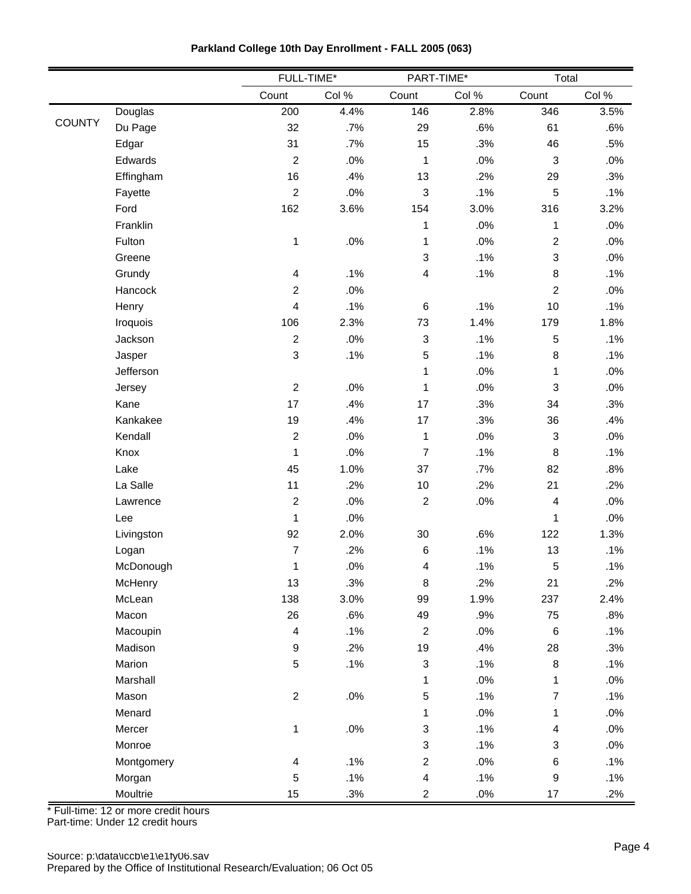|               |            | FULL-TIME*              |       |                           | PART-TIME* |                | Total  |
|---------------|------------|-------------------------|-------|---------------------------|------------|----------------|--------|
|               |            | Count                   | Col % | Count                     | Col %      | Count          | Col %  |
|               | Douglas    | 200                     | 4.4%  | 146                       | 2.8%       | 346            | 3.5%   |
| <b>COUNTY</b> | Du Page    | 32                      | .7%   | 29                        | .6%        | 61             | .6%    |
|               | Edgar      | 31                      | .7%   | 15                        | .3%        | 46             | .5%    |
|               | Edwards    | $\overline{c}$          | .0%   | 1                         | .0%        | $\mathbf{3}$   | .0%    |
|               | Effingham  | 16                      | .4%   | 13                        | .2%        | 29             | .3%    |
|               | Fayette    | $\overline{2}$          | .0%   | 3                         | .1%        | 5              | .1%    |
|               | Ford       | 162                     | 3.6%  | 154                       | 3.0%       | 316            | 3.2%   |
|               | Franklin   |                         |       | 1                         | .0%        | 1              | .0%    |
|               | Fulton     | 1                       | .0%   | 1                         | .0%        | $\overline{2}$ | .0%    |
|               | Greene     |                         |       | 3                         | .1%        | 3              | .0%    |
|               | Grundy     | 4                       | .1%   | 4                         | .1%        | 8              | .1%    |
|               | Hancock    | $\overline{c}$          | .0%   |                           |            | $\overline{c}$ | .0%    |
|               | Henry      | $\overline{\mathbf{4}}$ | .1%   | 6                         | .1%        | 10             | .1%    |
|               | Iroquois   | 106                     | 2.3%  | 73                        | 1.4%       | 179            | 1.8%   |
|               | Jackson    | $\overline{2}$          | .0%   | 3                         | .1%        | 5              | .1%    |
|               | Jasper     | 3                       | .1%   | 5                         | .1%        | 8              | .1%    |
|               | Jefferson  |                         |       | 1                         | .0%        | 1              | $.0\%$ |
|               | Jersey     | $\overline{c}$          | .0%   | $\mathbf{1}$              | .0%        | 3              | .0%    |
|               | Kane       | 17                      | .4%   | 17                        | .3%        | 34             | .3%    |
|               | Kankakee   | 19                      | .4%   | 17                        | .3%        | 36             | .4%    |
|               | Kendall    | $\overline{c}$          | .0%   | 1                         | .0%        | $\mathfrak{S}$ | .0%    |
|               | Knox       | $\mathbf 1$             | .0%   | $\overline{7}$            | .1%        | 8              | .1%    |
|               | Lake       | 45                      | 1.0%  | 37                        | .7%        | 82             | .8%    |
|               | La Salle   | 11                      | .2%   | $10$                      | .2%        | 21             | .2%    |
|               | Lawrence   | $\overline{2}$          | .0%   | $\boldsymbol{2}$          | $.0\%$     | 4              | $.0\%$ |
|               | Lee        | $\mathbf 1$             | .0%   |                           |            | 1              | .0%    |
|               | Livingston | 92                      | 2.0%  | 30                        | .6%        | 122            | 1.3%   |
|               | Logan      | $\overline{7}$          | .2%   | $\,6$                     | .1%        | 13             | .1%    |
|               | McDonough  | 1                       | .0%   | 4                         | .1%        | 5              | .1%    |
|               | McHenry    | 13                      | .3%   | 8                         | .2%        | 21             | .2%    |
|               | McLean     | 138                     | 3.0%  | 99                        | 1.9%       | 237            | 2.4%   |
|               | Macon      | 26                      | .6%   | 49                        | .9%        | 75             | .8%    |
|               | Macoupin   | $\overline{\mathbf{4}}$ | .1%   | $\boldsymbol{2}$          | .0%        | $\,6$          | .1%    |
|               | Madison    | 9                       | .2%   | 19                        | .4%        | 28             | .3%    |
|               | Marion     | 5                       | .1%   | 3                         | .1%        | $\bf 8$        | .1%    |
|               | Marshall   |                         |       | $\mathbf{1}$              | $.0\%$     | $\mathbf{1}$   | $.0\%$ |
|               | Mason      | $\overline{2}$          | .0%   | $\mathbf 5$               | .1%        | $\overline{7}$ | .1%    |
|               | Menard     |                         |       | $\mathbf{1}$              | .0%        | 1              | $.0\%$ |
|               | Mercer     | $\mathbf 1$             | .0%   | $\ensuremath{\mathsf{3}}$ | .1%        | 4              | .0%    |
|               | Monroe     |                         |       | 3                         | .1%        | 3              | $.0\%$ |
|               | Montgomery | 4                       | .1%   | $\overline{c}$            | $.0\%$     | 6              | .1%    |
|               | Morgan     | 5                       | .1%   | $\overline{\mathbf{4}}$   | .1%        | 9              | .1%    |
|               | Moultrie   | 15                      | .3%   | $\overline{a}$            | $.0\%$     | $17\,$         | .2%    |

**Parkland College 10th Day Enrollment - FALL 2005 (063)**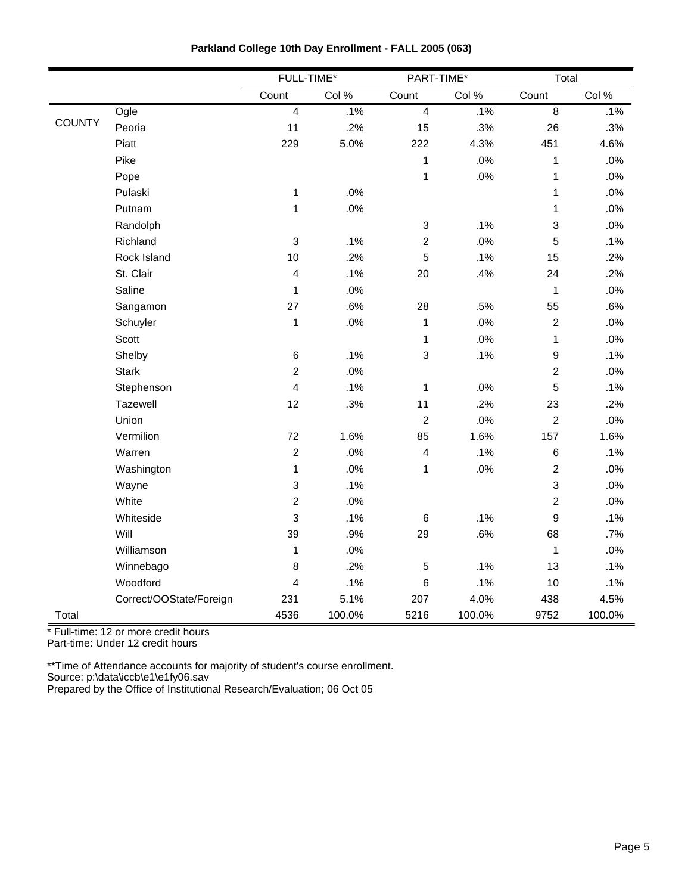|               |                         | FULL-TIME*              |        |                         | PART-TIME* |                  | Total  |
|---------------|-------------------------|-------------------------|--------|-------------------------|------------|------------------|--------|
|               |                         | Count                   | Col %  | Count                   | Col %      | Count            | Col %  |
|               | Ogle                    | $\overline{4}$          | .1%    | $\overline{4}$          | .1%        | $\overline{8}$   | .1%    |
| <b>COUNTY</b> | Peoria                  | 11                      | .2%    | 15                      | .3%        | 26               | .3%    |
|               | Piatt                   | 229                     | 5.0%   | 222                     | 4.3%       | 451              | 4.6%   |
|               | Pike                    |                         |        | $\mathbf 1$             | .0%        | $\mathbf 1$      | .0%    |
|               | Pope                    |                         |        | $\mathbf 1$             | .0%        | $\mathbf 1$      | .0%    |
|               | Pulaski                 | $\mathbf{1}$            | .0%    |                         |            | 1                | .0%    |
|               | Putnam                  | 1                       | $.0\%$ |                         |            | 1                | .0%    |
|               | Randolph                |                         |        | 3                       | .1%        | 3                | .0%    |
|               | Richland                | $\mathbf{3}$            | .1%    | $\overline{c}$          | .0%        | 5                | .1%    |
|               | Rock Island             | 10                      | .2%    | 5                       | .1%        | 15               | .2%    |
|               | St. Clair               | $\overline{\mathbf{4}}$ | .1%    | 20                      | .4%        | 24               | .2%    |
|               | Saline                  | $\mathbf 1$             | .0%    |                         |            | $\mathbf 1$      | .0%    |
|               | Sangamon                | 27                      | .6%    | 28                      | .5%        | 55               | .6%    |
|               | Schuyler                | $\mathbf{1}$            | $.0\%$ | 1                       | .0%        | $\boldsymbol{2}$ | $.0\%$ |
|               | Scott                   |                         |        | $\mathbf{1}$            | .0%        | $\mathbf 1$      | .0%    |
|               | Shelby                  | $\,6$                   | .1%    | 3                       | .1%        | 9                | .1%    |
|               | <b>Stark</b>            | $\boldsymbol{2}$        | .0%    |                         |            | $\boldsymbol{2}$ | .0%    |
|               | Stephenson              | $\overline{\mathbf{4}}$ | .1%    | $\mathbf 1$             | .0%        | 5                | .1%    |
|               | Tazewell                | 12                      | .3%    | 11                      | .2%        | 23               | .2%    |
|               | Union                   |                         |        | $\overline{c}$          | .0%        | $\overline{2}$   | .0%    |
|               | Vermilion               | 72                      | 1.6%   | 85                      | 1.6%       | 157              | 1.6%   |
|               | Warren                  | $\mathbf 2$             | .0%    | $\overline{\mathbf{4}}$ | .1%        | 6                | .1%    |
|               | Washington              | $\mathbf{1}$            | .0%    | $\mathbf 1$             | .0%        | $\overline{c}$   | $.0\%$ |
|               | Wayne                   | 3                       | .1%    |                         |            | 3                | .0%    |
|               | White                   | $\overline{c}$          | .0%    |                         |            | $\overline{c}$   | .0%    |
|               | Whiteside               | 3                       | .1%    | $\,6$                   | .1%        | 9                | .1%    |
|               | Will                    | 39                      | .9%    | 29                      | .6%        | 68               | .7%    |
|               | Williamson              | 1                       | .0%    |                         |            | 1                | .0%    |
|               | Winnebago               | 8                       | .2%    | 5                       | .1%        | 13               | .1%    |
|               | Woodford                | 4                       | .1%    | $\,6\,$                 | .1%        | 10               | .1%    |
|               | Correct/OOState/Foreign | 231                     | 5.1%   | 207                     | 4.0%       | 438              | 4.5%   |
| Total         |                         | 4536                    | 100.0% | 5216                    | 100.0%     | 9752             | 100.0% |

\* Full-time: 12 or more credit hours

Part-time: Under 12 credit hours

\*\*Time of Attendance accounts for majority of student's course enrollment. Source: p:\data\iccb\e1\e1fy06.sav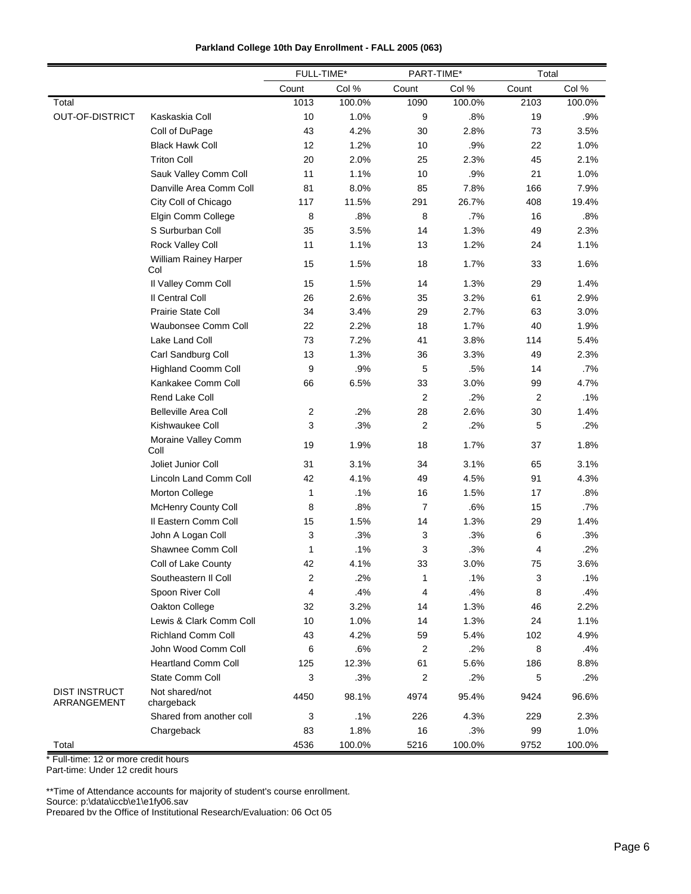| $-1$<br><b>TIME</b><br>$-11111-$<br>.<br> | -* |
|-------------------------------------------|----|

|                                     |                              | FULL-TIME* |        | PART-TIME*              |        | Total          |        |
|-------------------------------------|------------------------------|------------|--------|-------------------------|--------|----------------|--------|
|                                     |                              | Count      | Col %  | Count                   | Col %  | Count          | Col %  |
| Total                               |                              | 1013       | 100.0% | 1090                    | 100.0% | 2103           | 100.0% |
| <b>OUT-OF-DISTRICT</b>              | Kaskaskia Coll               | 10         | 1.0%   | 9                       | .8%    | 19             | .9%    |
|                                     | Coll of DuPage               | 43         | 4.2%   | 30                      | 2.8%   | 73             | 3.5%   |
|                                     | <b>Black Hawk Coll</b>       | 12         | 1.2%   | 10                      | .9%    | 22             | 1.0%   |
|                                     | <b>Triton Coll</b>           | 20         | 2.0%   | 25                      | 2.3%   | 45             | 2.1%   |
|                                     | Sauk Valley Comm Coll        | 11         | 1.1%   | 10                      | .9%    | 21             | 1.0%   |
|                                     | Danville Area Comm Coll      | 81         | 8.0%   | 85                      | 7.8%   | 166            | 7.9%   |
|                                     | City Coll of Chicago         | 117        | 11.5%  | 291                     | 26.7%  | 408            | 19.4%  |
|                                     | Elgin Comm College           | 8          | .8%    | 8                       | .7%    | 16             | .8%    |
|                                     | S Surburban Coll             | 35         | 3.5%   | 14                      | 1.3%   | 49             | 2.3%   |
|                                     | <b>Rock Valley Coll</b>      | 11         | 1.1%   | 13                      | 1.2%   | 24             | 1.1%   |
|                                     | William Rainey Harper<br>Col | 15         | 1.5%   | 18                      | 1.7%   | 33             | 1.6%   |
|                                     | Il Valley Comm Coll          | 15         | 1.5%   | 14                      | 1.3%   | 29             | 1.4%   |
|                                     | Il Central Coll              | 26         | 2.6%   | 35                      | 3.2%   | 61             | 2.9%   |
|                                     | <b>Prairie State Coll</b>    | 34         | 3.4%   | 29                      | 2.7%   | 63             | 3.0%   |
|                                     | Waubonsee Comm Coll          | 22         | 2.2%   | 18                      | 1.7%   | 40             | 1.9%   |
|                                     | Lake Land Coll               | 73         | 7.2%   | 41                      | 3.8%   | 114            | 5.4%   |
|                                     | Carl Sandburg Coll           | 13         | 1.3%   | 36                      | 3.3%   | 49             | 2.3%   |
|                                     | <b>Highland Coomm Coll</b>   | 9          | .9%    | 5                       | .5%    | 14             | .7%    |
|                                     | Kankakee Comm Coll           | 66         | 6.5%   | 33                      | 3.0%   | 99             | 4.7%   |
|                                     | Rend Lake Coll               |            |        | 2                       | .2%    | $\overline{2}$ | .1%    |
|                                     | <b>Belleville Area Coll</b>  | 2          | .2%    | 28                      | 2.6%   | 30             | 1.4%   |
|                                     | Kishwaukee Coll              | 3          | .3%    | $\boldsymbol{2}$        | .2%    | 5              | .2%    |
|                                     | Moraine Valley Comm<br>Coll  | 19         | 1.9%   | 18                      | 1.7%   | 37             | 1.8%   |
|                                     | Joliet Junior Coll           | 31         | 3.1%   | 34                      | 3.1%   | 65             | 3.1%   |
|                                     | Lincoln Land Comm Coll       | 42         | 4.1%   | 49                      | 4.5%   | 91             | 4.3%   |
|                                     | Morton College               | 1          | .1%    | 16                      | 1.5%   | 17             | .8%    |
|                                     | McHenry County Coll          | 8          | .8%    | 7                       | .6%    | 15             | .7%    |
|                                     | Il Eastern Comm Coll         | 15         | 1.5%   | 14                      | 1.3%   | 29             | 1.4%   |
|                                     | John A Logan Coll            | 3          | .3%    | 3                       | .3%    | 6              | .3%    |
|                                     | Shawnee Comm Coll            | 1          | .1%    | 3                       | .3%    | 4              | .2%    |
|                                     | Coll of Lake County          | 42         | 4.1%   | 33                      | 3.0%   | 75             | 3.6%   |
|                                     | Southeastern II Coll         | 2          | .2%    | 1                       | .1%    | 3              | .1%    |
|                                     | Spoon River Coll             | 4          | .4%    | 4                       | .4%    | 8              | .4%    |
|                                     | Oakton College               | 32         | 3.2%   | 14                      | 1.3%   | 46             | 2.2%   |
|                                     | Lewis & Clark Comm Coll      | 10         | 1.0%   | 14                      | 1.3%   | 24             | 1.1%   |
|                                     | <b>Richland Comm Coll</b>    | 43         | 4.2%   | 59                      | 5.4%   | 102            | 4.9%   |
|                                     | John Wood Comm Coll          | 6          | .6%    | $\overline{2}$          | .2%    | 8              | .4%    |
|                                     | <b>Heartland Comm Coll</b>   | 125        | 12.3%  | 61                      | 5.6%   | 186            | 8.8%   |
|                                     | State Comm Coll              | 3          | .3%    | $\overline{\mathbf{c}}$ | .2%    | 5              | .2%    |
| <b>DIST INSTRUCT</b><br>ARRANGEMENT | Not shared/not<br>chargeback | 4450       | 98.1%  | 4974                    | 95.4%  | 9424           | 96.6%  |
|                                     | Shared from another coll     | 3          | .1%    | 226                     | 4.3%   | 229            | 2.3%   |
|                                     | Chargeback                   | 83         | 1.8%   | 16                      | .3%    | 99             | 1.0%   |
| Total                               |                              | 4536       | 100.0% | 5216                    | 100.0% | 9752           | 100.0% |

\* Full-time: 12 or more credit hours

Part-time: Under 12 credit hours

\*\*Time of Attendance accounts for majority of student's course enrollment.

Source: p:\data\iccb\e1\e1fy06.sav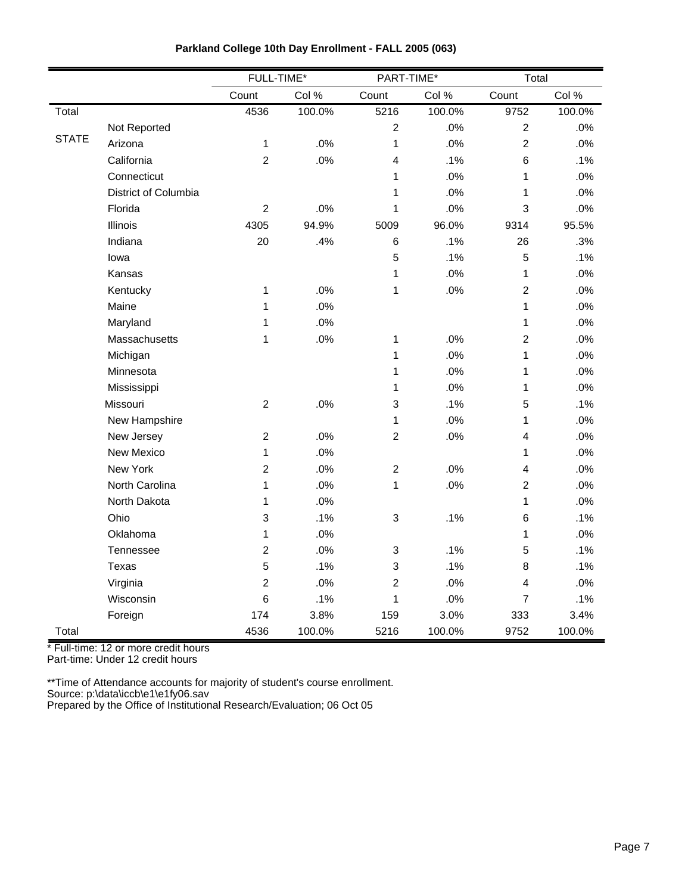|              |                      | FULL-TIME*     |        | PART-TIME*     |        | Total                   |        |
|--------------|----------------------|----------------|--------|----------------|--------|-------------------------|--------|
|              |                      | Count          | Col %  | Count          | Col %  | Count                   | Col %  |
| Total        |                      | 4536           | 100.0% | 5216           | 100.0% | 9752                    | 100.0% |
|              | Not Reported         |                |        | $\overline{c}$ | .0%    | $\overline{2}$          | .0%    |
| <b>STATE</b> | Arizona              | 1              | .0%    | 1              | .0%    | $\overline{2}$          | .0%    |
|              | California           | $\overline{2}$ | .0%    | $\overline{4}$ | .1%    | 6                       | .1%    |
|              | Connecticut          |                |        | 1              | .0%    | 1                       | .0%    |
|              | District of Columbia |                |        | 1              | .0%    | 1                       | .0%    |
|              | Florida              | $\overline{c}$ | .0%    | 1              | .0%    | 3                       | .0%    |
|              | Illinois             | 4305           | 94.9%  | 5009           | 96.0%  | 9314                    | 95.5%  |
|              | Indiana              | 20             | .4%    | $6\phantom{1}$ | .1%    | 26                      | .3%    |
|              | lowa                 |                |        | 5              | .1%    | 5                       | .1%    |
|              | Kansas               |                |        | $\mathbf{1}$   | .0%    | 1                       | .0%    |
|              | Kentucky             | $\mathbf{1}$   | .0%    | $\mathbf 1$    | .0%    | $\overline{c}$          | .0%    |
|              | Maine                | 1              | .0%    |                |        | 1                       | .0%    |
|              | Maryland             | 1              | .0%    |                |        | 1                       | .0%    |
|              | Massachusetts        | 1              | .0%    | $\mathbf{1}$   | .0%    | $\overline{c}$          | .0%    |
|              | Michigan             |                |        | $\mathbf{1}$   | .0%    | 1                       | .0%    |
|              | Minnesota            |                |        | 1              | .0%    | 1                       | .0%    |
|              | Mississippi          |                |        | 1              | .0%    | 1                       | .0%    |
|              | Missouri             | $\overline{c}$ | .0%    | 3              | .1%    | 5                       | .1%    |
|              | New Hampshire        |                |        | 1              | .0%    | 1                       | .0%    |
|              | New Jersey           | $\overline{c}$ | .0%    | $\overline{c}$ | .0%    | $\overline{\mathbf{4}}$ | .0%    |
|              | New Mexico           | 1              | .0%    |                |        | 1                       | $.0\%$ |
|              | New York             | $\overline{c}$ | .0%    | $\sqrt{2}$     | .0%    | $\overline{\mathbf{4}}$ | .0%    |
|              | North Carolina       | 1              | .0%    | $\mathbf{1}$   | .0%    | $\overline{c}$          | .0%    |
|              | North Dakota         | 1              | .0%    |                |        | 1                       | .0%    |
|              | Ohio                 | 3              | .1%    | 3              | .1%    | 6                       | .1%    |
|              | Oklahoma             | 1              | .0%    |                |        | 1                       | .0%    |
|              | Tennessee            | $\overline{2}$ | .0%    | 3              | .1%    | 5                       | .1%    |
|              | Texas                | 5              | .1%    | $\mathsf 3$    | .1%    | $\bf 8$                 | .1%    |
|              | Virginia             | $\overline{c}$ | .0%    | $\overline{c}$ | .0%    | 4                       | .0%    |
|              | Wisconsin            | $\,6$          | .1%    | 1              | .0%    | $\overline{7}$          | .1%    |
|              | Foreign              | 174            | 3.8%   | 159            | 3.0%   | 333                     | 3.4%   |
| Total        |                      | 4536           | 100.0% | 5216           | 100.0% | 9752                    | 100.0% |

\* Full-time: 12 or more credit hours

Part-time: Under 12 credit hours

\*\*Time of Attendance accounts for majority of student's course enrollment.

Source: p:\data\iccb\e1\e1fy06.sav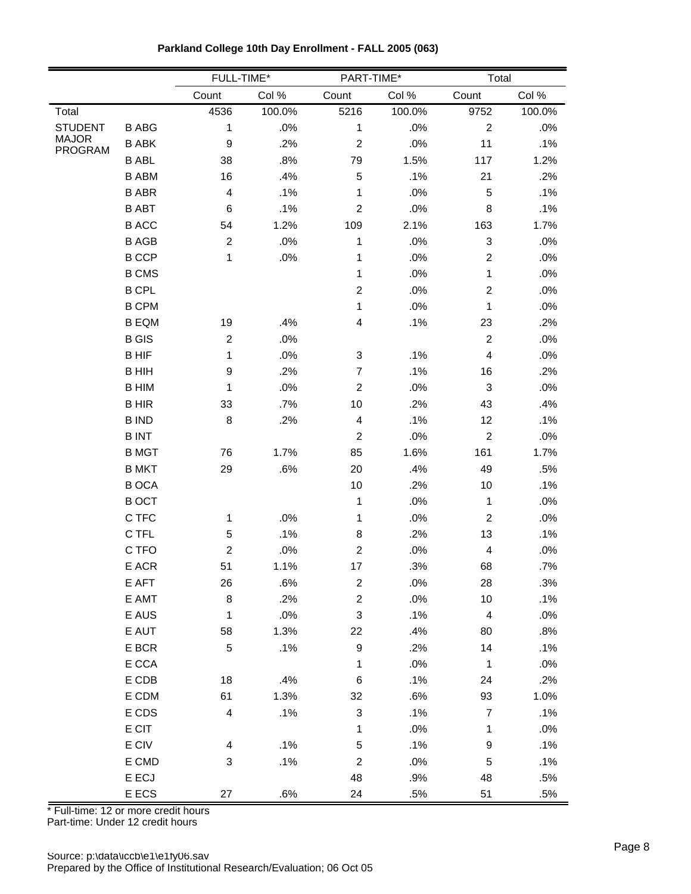|                                |              |                         | FULL-TIME* | PART-TIME*                |        | Total                     |        |
|--------------------------------|--------------|-------------------------|------------|---------------------------|--------|---------------------------|--------|
|                                |              | Count                   | Col %      | Count                     | Col %  | Count                     | Col %  |
| Total                          |              | 4536                    | 100.0%     | 5216                      | 100.0% | 9752                      | 100.0% |
| <b>STUDENT</b>                 | <b>B ABG</b> | 1                       | .0%        | 1                         | .0%    | $\sqrt{2}$                | .0%    |
| <b>MAJOR</b><br><b>PROGRAM</b> | <b>B ABK</b> | $\boldsymbol{9}$        | .2%        | $\boldsymbol{2}$          | .0%    | 11                        | .1%    |
|                                | <b>B ABL</b> | 38                      | .8%        | 79                        | 1.5%   | 117                       | 1.2%   |
|                                | <b>B ABM</b> | 16                      | .4%        | 5                         | .1%    | 21                        | .2%    |
|                                | <b>B ABR</b> | $\overline{\mathbf{4}}$ | .1%        | 1                         | .0%    | 5                         | .1%    |
|                                | <b>B ABT</b> | 6                       | .1%        | $\overline{c}$            | .0%    | 8                         | .1%    |
|                                | <b>BACC</b>  | 54                      | 1.2%       | 109                       | 2.1%   | 163                       | 1.7%   |
|                                | <b>B AGB</b> | $\overline{c}$          | .0%        | 1                         | .0%    | $\ensuremath{\mathsf{3}}$ | .0%    |
|                                | <b>B CCP</b> | 1                       | .0%        | 1                         | .0%    | $\overline{c}$            | .0%    |
|                                | <b>B CMS</b> |                         |            | 1                         | .0%    | 1                         | .0%    |
|                                | <b>B CPL</b> |                         |            | $\boldsymbol{2}$          | .0%    | $\boldsymbol{2}$          | .0%    |
|                                | <b>B CPM</b> |                         |            | 1                         | .0%    | 1                         | .0%    |
|                                | <b>B EQM</b> | 19                      | .4%        | 4                         | .1%    | 23                        | .2%    |
|                                | <b>B</b> GIS | $\boldsymbol{2}$        | .0%        |                           |        | $\overline{c}$            | .0%    |
|                                | <b>BHIF</b>  | 1                       | .0%        | 3                         | .1%    | $\overline{\mathcal{L}}$  | .0%    |
|                                | <b>BHIH</b>  | 9                       | .2%        | $\boldsymbol{7}$          | .1%    | 16                        | .2%    |
|                                | <b>B HIM</b> | 1                       | .0%        | $\overline{2}$            | .0%    | $\sqrt{3}$                | .0%    |
|                                | <b>BHIR</b>  | 33                      | .7%        | 10                        | .2%    | 43                        | .4%    |
|                                | <b>B IND</b> | 8                       | .2%        | 4                         | .1%    | 12                        | .1%    |
|                                | <b>BINT</b>  |                         |            | $\overline{2}$            | .0%    | $\sqrt{2}$                | .0%    |
|                                | <b>B</b> MGT | 76                      | 1.7%       | 85                        | 1.6%   | 161                       | 1.7%   |
|                                | <b>B MKT</b> | 29                      | .6%        | 20                        | .4%    | 49                        | .5%    |
|                                | <b>BOCA</b>  |                         |            | $10$                      | .2%    | 10                        | .1%    |
|                                | <b>BOCT</b>  |                         |            | 1                         | .0%    | $\mathbf 1$               | .0%    |
|                                | C TFC        | 1                       | .0%        | 1                         | .0%    | $\overline{2}$            | .0%    |
|                                | C TFL        | $\mathbf 5$             | .1%        | 8                         | .2%    | 13                        | .1%    |
|                                | C TFO        | $\boldsymbol{2}$        | .0%        | $\boldsymbol{2}$          | .0%    | $\overline{\mathbf{4}}$   | .0%    |
|                                | E ACR        | 51                      | 1.1%       | 17                        | .3%    | 68                        | .7%    |
|                                | E AFT        | 26                      | .6%        | $\sqrt{2}$                | $.0\%$ | 28                        | .3%    |
|                                | E AMT        | $\bf 8$                 | .2%        | $\overline{c}$            | .0%    | 10                        | .1%    |
|                                | E AUS        | 1                       | .0%        | 3                         | .1%    | 4                         | .0%    |
|                                | E AUT        | 58                      | 1.3%       | 22                        | .4%    | 80                        | .8%    |
|                                | E BCR        | $\mathbf 5$             | .1%        | $\boldsymbol{9}$          | .2%    | 14                        | .1%    |
|                                | E CCA        |                         |            | 1                         | .0%    | $\mathbf{1}$              | .0%    |
|                                | E CDB        | 18                      | .4%        | 6                         | .1%    | 24                        | .2%    |
|                                | E CDM        | 61                      | 1.3%       | 32                        | .6%    | 93                        | 1.0%   |
|                                | E CDS        | $\overline{\mathbf{4}}$ | .1%        | $\ensuremath{\mathsf{3}}$ | .1%    | $\boldsymbol{7}$          | .1%    |
|                                | E CIT        |                         |            | 1                         | .0%    | 1                         | .0%    |
|                                | E CIV        | 4                       | .1%        | 5                         | .1%    | $\boldsymbol{9}$          | .1%    |
|                                | E CMD        | 3                       | .1%        | $\overline{c}$            | .0%    | $\mathbf 5$               | .1%    |
|                                | E ECJ        |                         |            | 48                        | .9%    | 48                        | .5%    |
|                                | E ECS        | 27                      | .6%        | 24                        | .5%    | 51                        | .5%    |

**Parkland College 10th Day Enrollment - FALL 2005 (063)**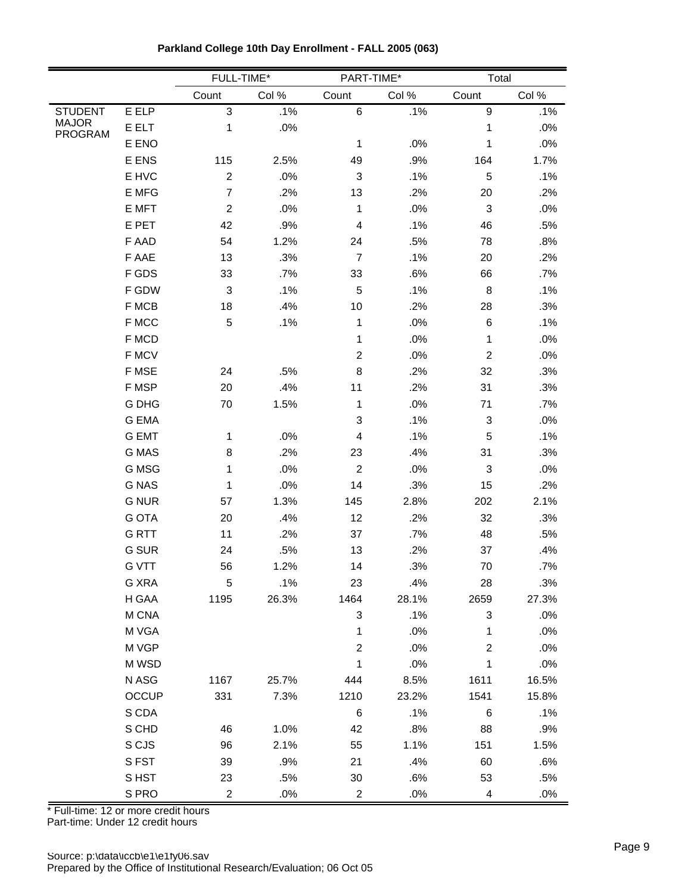|                                |              | FULL-TIME*       |       | PART-TIME*                |        | Total                     |       |
|--------------------------------|--------------|------------------|-------|---------------------------|--------|---------------------------|-------|
|                                |              | Count            | Col % | Count                     | Col %  | Count                     | Col % |
| <b>STUDENT</b>                 | E ELP        | $\mathsf 3$      | .1%   | $\,6$                     | .1%    | $\boldsymbol{9}$          | .1%   |
| <b>MAJOR</b><br><b>PROGRAM</b> | E ELT        | 1                | .0%   |                           |        | 1                         | .0%   |
|                                | E ENO        |                  |       | 1                         | .0%    | 1                         | .0%   |
|                                | E ENS        | 115              | 2.5%  | 49                        | .9%    | 164                       | 1.7%  |
|                                | E HVC        | $\boldsymbol{2}$ | .0%   | $\ensuremath{\mathsf{3}}$ | .1%    | $\sqrt{5}$                | .1%   |
|                                | E MFG        | $\overline{7}$   | .2%   | 13                        | .2%    | 20                        | .2%   |
|                                | E MFT        | $\boldsymbol{2}$ | .0%   | 1                         | .0%    | $\ensuremath{\mathsf{3}}$ | .0%   |
|                                | E PET        | 42               | .9%   | $\overline{\mathcal{L}}$  | .1%    | 46                        | .5%   |
|                                | F AAD        | 54               | 1.2%  | 24                        | .5%    | 78                        | .8%   |
|                                | F AAE        | 13               | .3%   | $\overline{7}$            | .1%    | 20                        | .2%   |
|                                | F GDS        | 33               | .7%   | 33                        | .6%    | 66                        | .7%   |
|                                | F GDW        | 3                | .1%   | 5                         | .1%    | 8                         | .1%   |
|                                | F MCB        | 18               | .4%   | 10                        | .2%    | 28                        | .3%   |
|                                | F MCC        | $\mathbf 5$      | .1%   | 1                         | .0%    | 6                         | .1%   |
|                                | F MCD        |                  |       | 1                         | .0%    | 1                         | .0%   |
|                                | F MCV        |                  |       | $\overline{2}$            | .0%    | $\boldsymbol{2}$          | .0%   |
|                                | F MSE        | 24               | .5%   | 8                         | .2%    | 32                        | .3%   |
|                                | F MSP        | 20               | .4%   | 11                        | .2%    | 31                        | .3%   |
|                                | <b>G DHG</b> | 70               | 1.5%  | 1                         | .0%    | 71                        | .7%   |
|                                | G EMA        |                  |       | 3                         | .1%    | $\ensuremath{\mathsf{3}}$ | .0%   |
|                                | <b>G EMT</b> | 1                | .0%   | 4                         | .1%    | $\sqrt{5}$                | .1%   |
|                                | <b>G MAS</b> | 8                | .2%   | 23                        | .4%    | 31                        | .3%   |
|                                | G MSG        | 1                | .0%   | $\boldsymbol{2}$          | .0%    | $\ensuremath{\mathsf{3}}$ | .0%   |
|                                | <b>G NAS</b> | 1                | .0%   | 14                        | .3%    | 15                        | .2%   |
|                                | <b>G NUR</b> | 57               | 1.3%  | 145                       | 2.8%   | 202                       | 2.1%  |
|                                | <b>G OTA</b> | 20               | .4%   | 12                        | .2%    | 32                        | .3%   |
|                                | <b>GRTT</b>  | 11               | .2%   | 37                        | $.7\%$ | 48                        | .5%   |
|                                | <b>G SUR</b> | 24               | .5%   | 13                        | .2%    | 37                        | .4%   |
|                                | <b>G VTT</b> | 56               | 1.2%  | 14                        | .3%    | 70                        | .7%   |
|                                | G XRA        | 5                | .1%   | 23                        | .4%    | 28                        | .3%   |
|                                | H GAA        | 1195             | 26.3% | 1464                      | 28.1%  | 2659                      | 27.3% |
|                                | M CNA        |                  |       | 3                         | .1%    | $\sqrt{3}$                | .0%   |
|                                | M VGA        |                  |       | 1                         | .0%    | 1                         | .0%   |
|                                | M VGP        |                  |       | $\boldsymbol{2}$          | .0%    | $\boldsymbol{2}$          | .0%   |
|                                | M WSD        |                  |       | 1                         | .0%    | 1                         | .0%   |
|                                | N ASG        | 1167             | 25.7% | 444                       | 8.5%   | 1611                      | 16.5% |
|                                | <b>OCCUP</b> | 331              | 7.3%  | 1210                      | 23.2%  | 1541                      | 15.8% |
|                                | S CDA        |                  |       | 6                         | .1%    | 6                         | .1%   |
|                                | S CHD        | 46               | 1.0%  | 42                        | .8%    | 88                        | .9%   |
|                                | S CJS        | 96               | 2.1%  | 55                        | 1.1%   | 151                       | 1.5%  |
|                                | S FST        | 39               | .9%   | 21                        | .4%    | 60                        | .6%   |
|                                | S HST        | 23               | .5%   | 30                        | .6%    | 53                        | .5%   |
|                                | S PRO        | $\overline{c}$   | .0%   | $\overline{c}$            | .0%    | $\overline{\mathbf{4}}$   | .0%   |

**Parkland College 10th Day Enrollment - FALL 2005 (063)**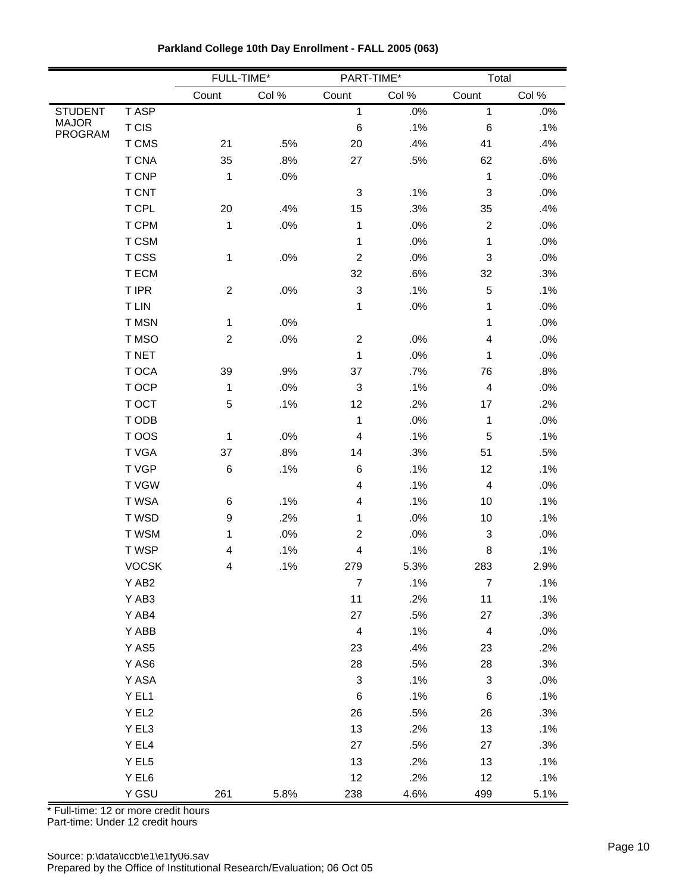|                                |              | FULL-TIME*       |         | PART-TIME*              |        | Total                     |        |
|--------------------------------|--------------|------------------|---------|-------------------------|--------|---------------------------|--------|
|                                |              | Count            | Col $%$ | Count                   | Col %  | Count                     | Col %  |
| <b>STUDENT</b>                 | <b>TASP</b>  |                  |         | $\mathbf{1}$            | $.0\%$ | $\mathbf{1}$              | .0%    |
| <b>MAJOR</b><br><b>PROGRAM</b> | T CIS        |                  |         | $\,6$                   | .1%    | $\,6$                     | .1%    |
|                                | T CMS        | 21               | .5%     | 20                      | .4%    | 41                        | .4%    |
|                                | <b>T CNA</b> | 35               | .8%     | 27                      | .5%    | 62                        | .6%    |
|                                | T CNP        | 1                | .0%     |                         |        | $\mathbf{1}$              | .0%    |
|                                | T CNT        |                  |         | 3                       | .1%    | $\ensuremath{\mathsf{3}}$ | .0%    |
|                                | T CPL        | 20               | .4%     | 15                      | .3%    | 35                        | .4%    |
|                                | T CPM        | 1                | $.0\%$  | $\mathbf 1$             | .0%    | $\boldsymbol{2}$          | .0%    |
|                                | T CSM        |                  |         | $\mathbf 1$             | .0%    | $\mathbf{1}$              | .0%    |
|                                | T CSS        | 1                | $.0\%$  | $\overline{2}$          | .0%    | $\ensuremath{\mathsf{3}}$ | .0%    |
|                                | T ECM        |                  |         | 32                      | .6%    | 32                        | .3%    |
|                                | T IPR        | $\boldsymbol{2}$ | .0%     | 3                       | .1%    | 5                         | .1%    |
|                                | <b>TLIN</b>  |                  |         | 1                       | .0%    | 1                         | .0%    |
|                                | T MSN        | $\mathbf 1$      | .0%     |                         |        | 1                         | .0%    |
|                                | T MSO        | $\boldsymbol{2}$ | $.0\%$  | $\overline{c}$          | .0%    | $\overline{\mathbf{4}}$   | .0%    |
|                                | <b>T NET</b> |                  |         | $\mathbf 1$             | .0%    | $\mathbf{1}$              | .0%    |
|                                | T OCA        | 39               | .9%     | 37                      | .7%    | 76                        | .8%    |
|                                | T OCP        | 1                | $.0\%$  | 3                       | .1%    | $\overline{\mathbf{4}}$   | .0%    |
|                                | T OCT        | $\mathbf 5$      | .1%     | 12                      | .2%    | 17                        | .2%    |
|                                | T ODB        |                  |         | $\mathbf 1$             | .0%    | $\mathbf{1}$              | .0%    |
|                                | T OOS        | $\mathbf{1}$     | .0%     | 4                       | .1%    | 5                         | .1%    |
|                                | T VGA        | 37               | .8%     | 14                      | .3%    | 51                        | .5%    |
|                                | T VGP        | 6                | .1%     | $\,6$                   | .1%    | 12                        | .1%    |
|                                | <b>TVGW</b>  |                  |         | 4                       | .1%    | 4                         | .0%    |
|                                | T WSA        | 6                | .1%     | 4                       | .1%    | 10                        | .1%    |
|                                | T WSD        | $\boldsymbol{9}$ | .2%     | 1                       | .0%    | 10                        | .1%    |
|                                | T WSM        | $\mathbf{1}$     | .0%     | $\overline{c}$          | .0%    | $\ensuremath{\mathsf{3}}$ | .0%    |
|                                | T WSP        | 4                | .1%     | 4                       | .1%    | 8                         | .1%    |
|                                | <b>VOCSK</b> | 4                | .1%     | 279                     | 5.3%   | 283                       | 2.9%   |
|                                | Y AB2        |                  |         | $\boldsymbol{7}$        | .1%    | $\boldsymbol{7}$          | .1%    |
|                                | Y AB3        |                  |         | 11                      | .2%    | 11                        | .1%    |
|                                | Y AB4        |                  |         | 27                      | .5%    | 27                        | .3%    |
|                                | Y ABB        |                  |         | $\overline{\mathbf{4}}$ | .1%    | $\overline{\mathcal{A}}$  | $.0\%$ |
|                                | Y AS5        |                  |         | 23                      | .4%    | 23                        | .2%    |
|                                | Y AS6        |                  |         | 28                      | .5%    | 28                        | .3%    |
|                                | Y ASA        |                  |         | 3                       | .1%    | $\ensuremath{\mathsf{3}}$ | .0%    |
|                                | YEL1         |                  |         | $\,6$                   | .1%    | $\,6$                     | .1%    |
|                                | Y EL2        |                  |         | 26                      | .5%    | 26                        | .3%    |
|                                | Y EL3        |                  |         | 13                      | .2%    | 13                        | .1%    |
|                                | Y EL4        |                  |         | $27\,$                  | .5%    | 27                        | .3%    |
|                                | Y EL5        |                  |         | 13                      | .2%    | 13                        | .1%    |
|                                | $Y$ EL6      |                  |         | 12                      | .2%    | 12                        | .1%    |
|                                | Y GSU        | 261              | 5.8%    | 238                     | 4.6%   | 499                       | 5.1%   |

**Parkland College 10th Day Enrollment - FALL 2005 (063)**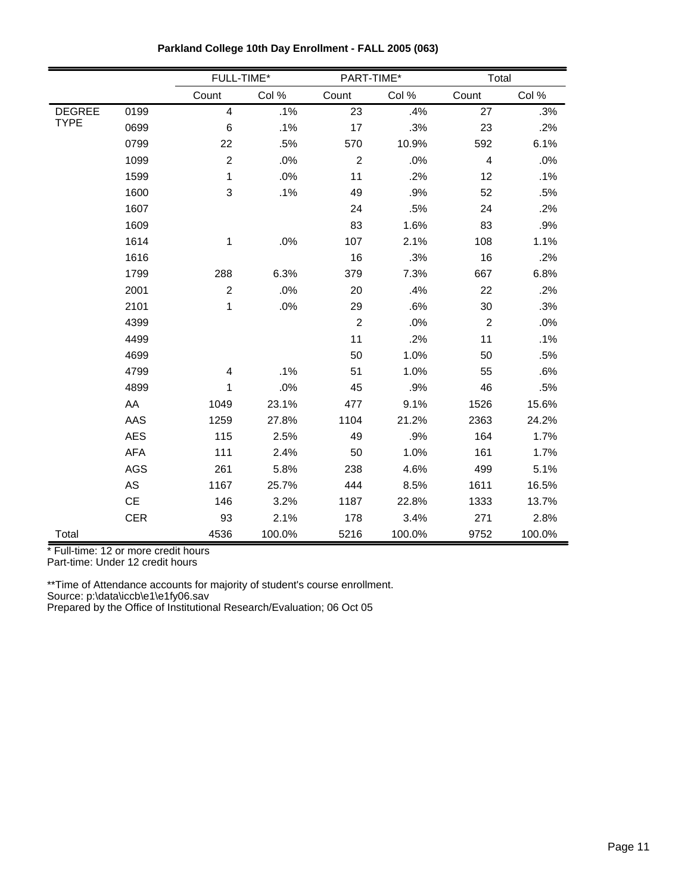|               |            |                  | FULL-TIME* |                | PART-TIME* |            | Total  |  |  |
|---------------|------------|------------------|------------|----------------|------------|------------|--------|--|--|
|               |            | Count            | Col %      | Count          | Col %      | Count      | Col %  |  |  |
| <b>DEGREE</b> | 0199       | $\overline{4}$   | .1%        | 23             | .4%        | 27         | .3%    |  |  |
| <b>TYPE</b>   | 0699       | 6                | .1%        | 17             | .3%        | 23         | .2%    |  |  |
|               | 0799       | 22               | .5%        | 570            | 10.9%      | 592        | 6.1%   |  |  |
|               | 1099       | $\boldsymbol{2}$ | .0%        | $\overline{c}$ | .0%        | 4          | .0%    |  |  |
|               | 1599       | 1                | .0%        | 11             | .2%        | 12         | .1%    |  |  |
|               | 1600       | 3                | .1%        | 49             | .9%        | 52         | .5%    |  |  |
|               | 1607       |                  |            | 24             | .5%        | 24         | .2%    |  |  |
|               | 1609       |                  |            | 83             | 1.6%       | 83         | .9%    |  |  |
|               | 1614       | 1                | .0%        | 107            | 2.1%       | 108        | 1.1%   |  |  |
|               | 1616       |                  |            | 16             | .3%        | 16         | .2%    |  |  |
|               | 1799       | 288              | 6.3%       | 379            | 7.3%       | 667        | 6.8%   |  |  |
|               | 2001       | $\overline{2}$   | .0%        | 20             | .4%        | 22         | .2%    |  |  |
|               | 2101       | 1                | .0%        | 29             | .6%        | 30         | .3%    |  |  |
|               | 4399       |                  |            | $\overline{c}$ | .0%        | $\sqrt{2}$ | .0%    |  |  |
|               | 4499       |                  |            | 11             | .2%        | 11         | .1%    |  |  |
|               | 4699       |                  |            | 50             | 1.0%       | 50         | .5%    |  |  |
|               | 4799       | 4                | .1%        | 51             | 1.0%       | 55         | .6%    |  |  |
|               | 4899       | 1                | .0%        | 45             | .9%        | 46         | .5%    |  |  |
|               | AA         | 1049             | 23.1%      | 477            | 9.1%       | 1526       | 15.6%  |  |  |
|               | AAS        | 1259             | 27.8%      | 1104           | 21.2%      | 2363       | 24.2%  |  |  |
|               | <b>AES</b> | 115              | 2.5%       | 49             | .9%        | 164        | 1.7%   |  |  |
|               | AFA        | 111              | 2.4%       | 50             | 1.0%       | 161        | 1.7%   |  |  |
|               | <b>AGS</b> | 261              | 5.8%       | 238            | 4.6%       | 499        | 5.1%   |  |  |
|               | AS         | 1167             | 25.7%      | 444            | 8.5%       | 1611       | 16.5%  |  |  |
|               | <b>CE</b>  | 146              | 3.2%       | 1187           | 22.8%      | 1333       | 13.7%  |  |  |
|               | <b>CER</b> | 93               | 2.1%       | 178            | 3.4%       | 271        | 2.8%   |  |  |
| Total         |            | 4536             | 100.0%     | 5216           | 100.0%     | 9752       | 100.0% |  |  |

**Parkland College 10th Day Enrollment - FALL 2005 (063)**

Part-time: Under 12 credit hours

\*\*Time of Attendance accounts for majority of student's course enrollment.

Source: p:\data\iccb\e1\e1fy06.sav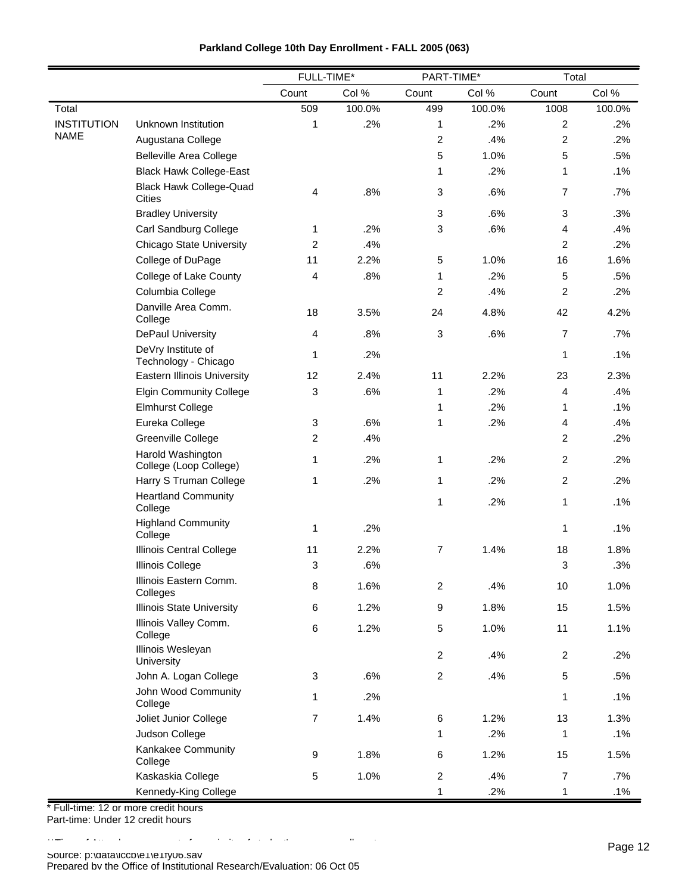| Parkland College 10th Day Enrollment - FALL 2005 (063) |  |  |
|--------------------------------------------------------|--|--|
|--------------------------------------------------------|--|--|

|                    |                                             | FULL-TIME*     |        | PART-TIME*     |        | Total          |        |
|--------------------|---------------------------------------------|----------------|--------|----------------|--------|----------------|--------|
|                    |                                             | Count          | Col %  | Count          | Col %  | Count          | Col %  |
| Total              |                                             | 509            | 100.0% | 499            | 100.0% | 1008           | 100.0% |
| <b>INSTITUTION</b> | Unknown Institution                         | 1              | .2%    | 1              | .2%    | 2              | .2%    |
| <b>NAME</b>        | Augustana College                           |                |        | $\overline{2}$ | .4%    | 2              | .2%    |
|                    | <b>Belleville Area College</b>              |                |        | 5              | 1.0%   | 5              | .5%    |
|                    | <b>Black Hawk College-East</b>              |                |        | 1              | .2%    | 1              | .1%    |
|                    | <b>Black Hawk College-Quad</b><br>Cities    | 4              | .8%    | 3              | .6%    | 7              | .7%    |
|                    | <b>Bradley University</b>                   |                |        | 3              | .6%    | 3              | .3%    |
|                    | Carl Sandburg College                       | 1              | .2%    | 3              | .6%    | 4              | .4%    |
|                    | <b>Chicago State University</b>             | 2              | .4%    |                |        | $\overline{2}$ | .2%    |
|                    | College of DuPage                           | 11             | 2.2%   | 5              | 1.0%   | 16             | 1.6%   |
|                    | College of Lake County                      | 4              | .8%    | 1              | .2%    | 5              | .5%    |
|                    | Columbia College                            |                |        | 2              | .4%    | $\overline{c}$ | .2%    |
|                    | Danville Area Comm.<br>College              | 18             | 3.5%   | 24             | 4.8%   | 42             | 4.2%   |
|                    | DePaul University                           | 4              | .8%    | 3              | .6%    | 7              | .7%    |
|                    | DeVry Institute of<br>Technology - Chicago  | 1              | .2%    |                |        | 1              | .1%    |
|                    | Eastern Illinois University                 | 12             | 2.4%   | 11             | 2.2%   | 23             | 2.3%   |
|                    | <b>Elgin Community College</b>              | 3              | .6%    | 1              | .2%    | 4              | .4%    |
|                    | <b>Elmhurst College</b>                     |                |        | 1              | .2%    | 1              | .1%    |
|                    | Eureka College                              | 3              | .6%    | 1              | .2%    | 4              | .4%    |
|                    | Greenville College                          | 2              | .4%    |                |        | $\overline{c}$ | .2%    |
|                    | Harold Washington<br>College (Loop College) | 1              | .2%    | 1              | .2%    | $\overline{c}$ | .2%    |
|                    | Harry S Truman College                      | 1              | .2%    | 1              | .2%    | $\overline{c}$ | .2%    |
|                    | <b>Heartland Community</b><br>College       |                |        | 1              | .2%    | 1              | .1%    |
|                    | <b>Highland Community</b><br>College        | 1              | .2%    |                |        | $\mathbf{1}$   | .1%    |
|                    | <b>Illinois Central College</b>             | 11             | 2.2%   | $\overline{7}$ | 1.4%   | 18             | 1.8%   |
|                    | <b>Illinois College</b>                     | 3              | .6%    |                |        | 3              | .3%    |
|                    | Illinois Eastern Comm.<br>Colleges          | 8              | 1.6%   | $\overline{2}$ | .4%    | 10             | 1.0%   |
|                    | <b>Illinois State University</b>            | 6              | 1.2%   | 9              | 1.8%   | 15             | 1.5%   |
|                    | Illinois Valley Comm.<br>College            | 6              | 1.2%   | 5              | 1.0%   | 11             | 1.1%   |
|                    | Illinois Wesleyan<br>University             |                |        | $\overline{2}$ | .4%    | $\overline{c}$ | .2%    |
|                    | John A. Logan College                       | $\mathbf{3}$   | .6%    | $\mathbf{2}$   | .4%    | $\,$ 5 $\,$    | .5%    |
|                    | John Wood Community<br>College              | 1              | .2%    |                |        | 1              | .1%    |
|                    | Joliet Junior College                       | $\overline{7}$ | 1.4%   | 6              | 1.2%   | 13             | 1.3%   |
|                    | Judson College                              |                |        | 1              | .2%    | 1              | .1%    |
|                    | Kankakee Community<br>College               | 9              | 1.8%   | 6              | 1.2%   | 15             | 1.5%   |
|                    | Kaskaskia College                           | 5              | 1.0%   | $\overline{c}$ | .4%    | $\overline{7}$ | .7%    |
|                    | Kennedy-King College                        |                |        | 1              | .2%    | 1              | .1%    |

\* Full-time: 12 or more credit hours Part-time: Under 12 credit hours

\*\*Time of Attendance accounts for majority of student's course enrollment.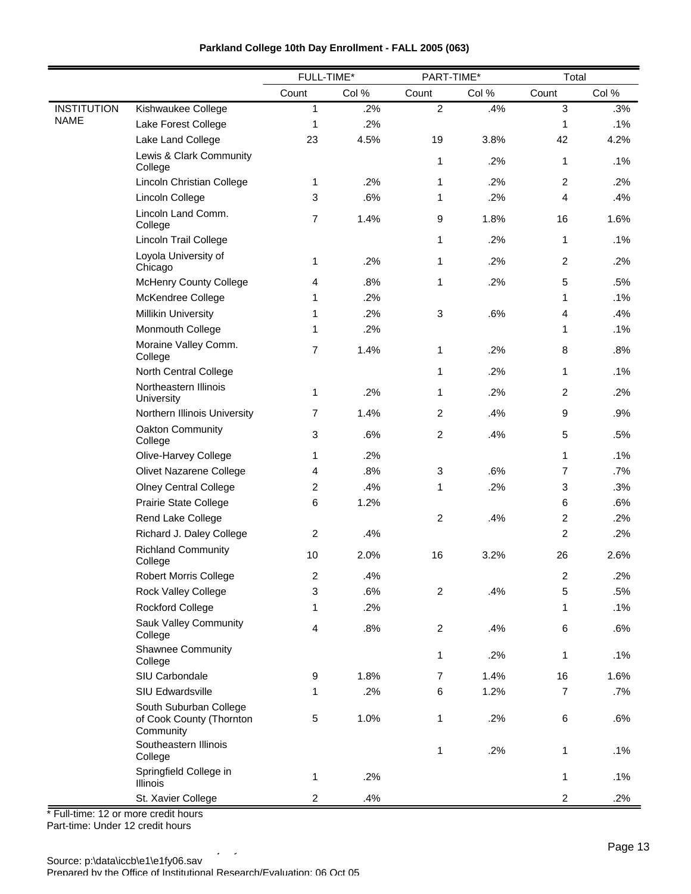|                    |                                                                 |                | FULL-TIME*<br>PART-TIME* |                  | Total |                  |        |
|--------------------|-----------------------------------------------------------------|----------------|--------------------------|------------------|-------|------------------|--------|
|                    |                                                                 | Count          | Col %                    | Count            | Col % | Count            | Col %  |
| <b>INSTITUTION</b> | Kishwaukee College                                              | $\mathbf{1}$   | .2%                      | $\overline{2}$   | .4%   | 3                | .3%    |
| <b>NAME</b>        | Lake Forest College                                             | 1              | .2%                      |                  |       | 1                | $.1\%$ |
|                    | Lake Land College                                               | 23             | 4.5%                     | 19               | 3.8%  | 42               | 4.2%   |
|                    | Lewis & Clark Community<br>College                              |                |                          | 1                | .2%   | $\mathbf{1}$     | .1%    |
|                    | Lincoln Christian College                                       | 1              | .2%                      | 1                | .2%   | $\overline{2}$   | .2%    |
|                    | Lincoln College                                                 | 3              | .6%                      | 1                | .2%   | 4                | .4%    |
|                    | Lincoln Land Comm.<br>College                                   | $\overline{7}$ | 1.4%                     | $\boldsymbol{9}$ | 1.8%  | 16               | 1.6%   |
|                    | Lincoln Trail College                                           |                |                          | 1                | .2%   | $\mathbf{1}$     | .1%    |
|                    | Loyola University of<br>Chicago                                 | 1              | .2%                      | 1                | .2%   | $\overline{2}$   | .2%    |
|                    | <b>McHenry County College</b>                                   | 4              | .8%                      | 1                | .2%   | 5                | .5%    |
|                    | McKendree College                                               | 1              | .2%                      |                  |       | $\mathbf{1}$     | .1%    |
|                    | <b>Millikin University</b>                                      | 1              | .2%                      | $\sqrt{3}$       | .6%   | 4                | .4%    |
|                    | Monmouth College                                                | 1              | .2%                      |                  |       | $\mathbf{1}$     | .1%    |
|                    | Moraine Valley Comm.<br>College                                 | $\overline{7}$ | 1.4%                     | 1                | .2%   | 8                | .8%    |
|                    | North Central College                                           |                |                          | $\mathbf{1}$     | .2%   | $\mathbf{1}$     | .1%    |
|                    | Northeastern Illinois<br>University                             | 1              | .2%                      | 1                | .2%   | $\overline{2}$   | .2%    |
|                    | Northern Illinois University                                    | 7              | 1.4%                     | $\overline{2}$   | .4%   | 9                | .9%    |
|                    | Oakton Community<br>College                                     | 3              | .6%                      | $\overline{c}$   | .4%   | $\sqrt{5}$       | .5%    |
|                    | Olive-Harvey College                                            | 1              | .2%                      |                  |       | 1                | .1%    |
|                    | Olivet Nazarene College                                         | 4              | .8%                      | 3                | .6%   | $\overline{7}$   | $.7\%$ |
|                    | <b>Olney Central College</b>                                    | $\overline{2}$ | .4%                      | 1                | .2%   | 3                | .3%    |
|                    | Prairie State College                                           | 6              | 1.2%                     |                  |       | 6                | .6%    |
|                    | Rend Lake College                                               |                |                          | $\overline{c}$   | .4%   | $\overline{2}$   | .2%    |
|                    | Richard J. Daley College                                        | $\overline{2}$ | .4%                      |                  |       | 2                | .2%    |
|                    | <b>Richland Community</b><br>College                            | 10             | 2.0%                     | 16               | 3.2%  | 26               | 2.6%   |
|                    | <b>Robert Morris College</b>                                    | 2              | .4%                      |                  |       | $\boldsymbol{2}$ | .2%    |
|                    | Rock Valley College                                             | 3              | .6%                      | $\overline{2}$   | .4%   | 5                | .5%    |
|                    | <b>Rockford College</b>                                         | 1              | .2%                      |                  |       | 1                | .1%    |
|                    | Sauk Valley Community<br>College                                | 4              | .8%                      | $\overline{c}$   | .4%   | 6                | .6%    |
|                    | <b>Shawnee Community</b><br>College                             |                |                          | 1                | .2%   | 1                | .1%    |
|                    | SIU Carbondale                                                  | 9              | 1.8%                     | $\overline{7}$   | 1.4%  | 16               | 1.6%   |
|                    | SIU Edwardsville                                                | 1              | .2%                      | $\,6$            | 1.2%  | $\overline{7}$   | .7%    |
|                    | South Suburban College<br>of Cook County (Thornton<br>Community | 5              | 1.0%                     | 1                | .2%   | 6                | .6%    |
|                    | Southeastern Illinois<br>College                                |                |                          | 1                | .2%   | 1                | .1%    |
|                    | Springfield College in<br>Illinois                              | 1              | .2%                      |                  |       | 1                | .1%    |
|                    | St. Xavier College                                              | 2              | .4%                      |                  |       | $\overline{2}$   | .2%    |

\* Full-time: 12 or more credit hours